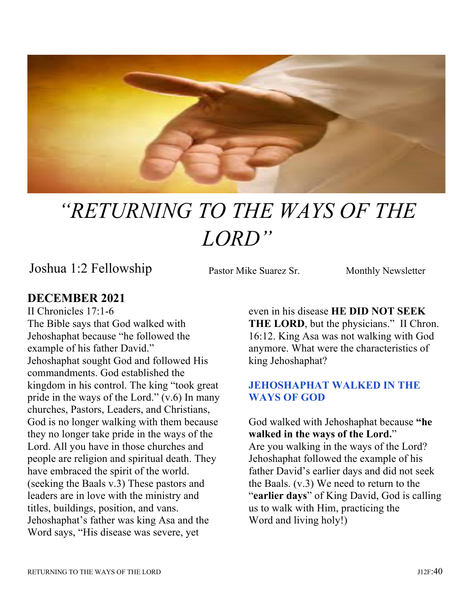

# "RETURNING TO THE WAYS OF THE LORD"

Joshua 1:2 Fellowship Pastor Mike Suarez Sr. Monthly Newsletter

Pastor Mike Suarez Sr.

# **DECEMBER 2021**

II Chronicles 17:1-6 The Bible says that God walked with Jehoshaphat because "he followed the example of his father David." Jehoshaphat sought God and followed His commandments. God established the kingdom in his control. The king "took great pride in the ways of the Lord." (v.6) In many churches, Pastors, Leaders, and Christians, God is no longer walking with them because they no longer take pride in the ways of the Lord. All you have in those churches and people are religion and spiritual death. They have embraced the spirit of the world. (seeking the Baals v.3) These pastors and leaders are in love with the ministry and titles, buildings, position, and vans. Jehoshaphat's father was king Asa and the Word says, "His disease was severe, yet

even in his disease **HE DID NOT SEEK**  THE LORD, but the physicians." II Chron. 16:12. King Asa was not walking with God anymore. What were the characteristics of king Jehoshaphat?

## **JEHOSHAPHAT WALKED IN THE WAYS OF GOD**

God walked with Jehoshaphat because **"he walked in the ways of the Lord.**" Are you walking in the ways of the Lord? Jehoshaphat followed the example of his father David's earlier days and did not seek the Baals. (v.3) We need to return to the "**earlier days**" of King David, God is calling us to walk with Him, practicing the Word and living holy!)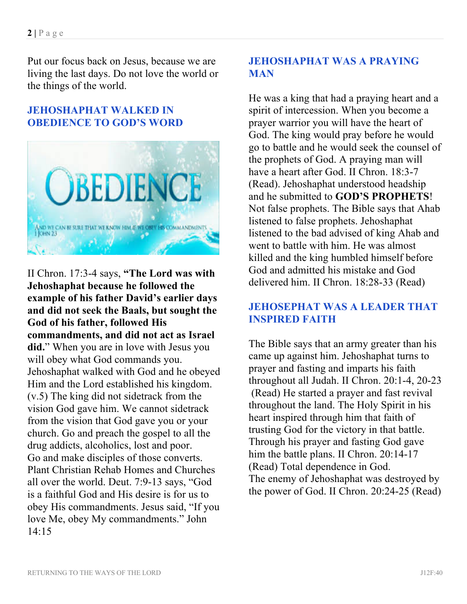Put our focus back on Jesus, because we are living the last days. Do not love the world or the things of the world.

#### **JEHOSHAPHAT WALKED IN OBEDIENCE TO GOD'S WORD**



II Chron. 17:3-4 says, **"The Lord was with Jehoshaphat because he followed the example of his father David's earlier days and did not seek the Baals, but sought the God of his father, followed His commandments, and did not act as Israel did.**" When you are in love with Jesus you will obey what God commands you. Jehoshaphat walked with God and he obeyed Him and the Lord established his kingdom. (v.5) The king did not sidetrack from the vision God gave him. We cannot sidetrack from the vision that God gave you or your church. Go and preach the gospel to all the drug addicts, alcoholics, lost and poor. Go and make disciples of those converts. Plant Christian Rehab Homes and Churches all over the world. Deut. 7:9-13 says, "God is a faithful God and His desire is for us to obey His commandments. Jesus said, "If you love Me, obey My commandments." John 14:15

## **JEHOSHAPHAT WAS A PRAYING MAN**

He was a king that had a praying heart and a spirit of intercession. When you become a prayer warrior you will have the heart of God. The king would pray before he would go to battle and he would seek the counsel of the prophets of God. A praying man will have a heart after God. II Chron. 18:3-7 (Read). Jehoshaphat understood headship and he submitted to **GOD'S PROPHETS**! Not false prophets. The Bible says that Ahab listened to false prophets. Jehoshaphat listened to the bad advised of king Ahab and went to battle with him. He was almost killed and the king humbled himself before God and admitted his mistake and God delivered him. II Chron. 18:28-33 (Read)

## **JEHOSEPHAT WAS A LEADER THAT INSPIRED FAITH**

The Bible says that an army greater than his came up against him. Jehoshaphat turns to prayer and fasting and imparts his faith throughout all Judah. II Chron. 20:1-4, 20-23 (Read) He started a prayer and fast revival throughout the land. The Holy Spirit in his heart inspired through him that faith of trusting God for the victory in that battle. Through his prayer and fasting God gave him the battle plans. II Chron. 20:14-17 (Read) Total dependence in God. The enemy of Jehoshaphat was destroyed by the power of God. II Chron. 20:24-25 (Read)